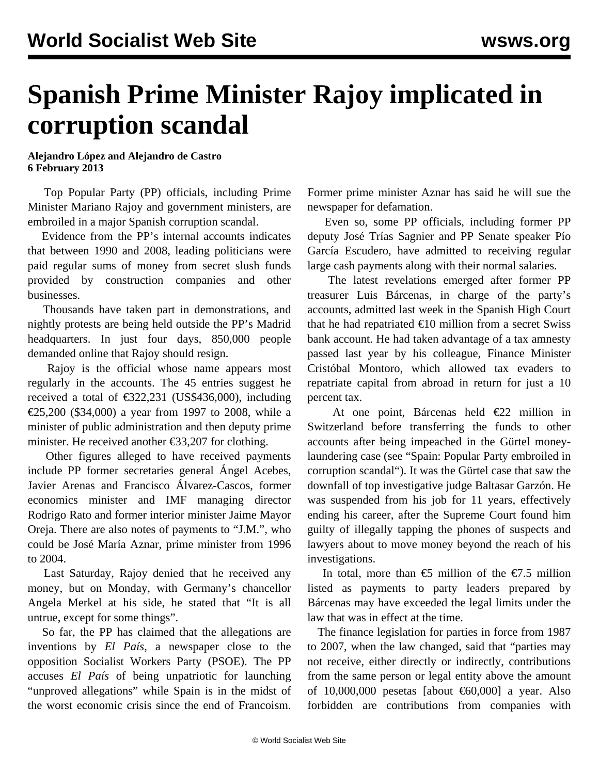## **Spanish Prime Minister Rajoy implicated in corruption scandal**

**Alejandro López and Alejandro de Castro 6 February 2013**

 Top Popular Party (PP) officials, including Prime Minister Mariano Rajoy and government ministers, are embroiled in a major Spanish corruption scandal.

 Evidence from the PP's internal accounts indicates that between 1990 and 2008, leading politicians were paid regular sums of money from secret slush funds provided by construction companies and other businesses.

 Thousands have taken part in demonstrations, and nightly protests are being held outside the PP's Madrid headquarters. In just four days, 850,000 people demanded online that Rajoy should resign.

 Rajoy is the official whose name appears most regularly in the accounts. The 45 entries suggest he received a total of  $\text{\textsterling}322,231$  (US\$436,000), including €25,200 (\$34,000) a year from 1997 to 2008, while a minister of public administration and then deputy prime minister. He received another €33,207 for clothing.

 Other figures alleged to have received payments include PP former secretaries general Ángel Acebes, Javier Arenas and Francisco Álvarez-Cascos, former economics minister and IMF managing director Rodrigo Rato and former interior minister Jaime Mayor Oreja. There are also notes of payments to "J.M.", who could be José María Aznar, prime minister from 1996 to 2004.

 Last Saturday, Rajoy denied that he received any money, but on Monday, with Germany's chancellor Angela Merkel at his side, he stated that "It is all untrue, except for some things".

 So far, the PP has claimed that the allegations are inventions by *El País*, a newspaper close to the opposition Socialist Workers Party (PSOE). The PP accuses *El País* of being unpatriotic for launching "unproved allegations" while Spain is in the midst of the worst economic crisis since the end of Francoism. Former prime minister Aznar has said he will sue the newspaper for defamation.

 Even so, some PP officials, including former PP deputy José Trías Sagnier and PP Senate speaker Pío García Escudero, have admitted to receiving regular large cash payments along with their normal salaries.

 The latest revelations emerged after former PP treasurer Luis Bárcenas, in charge of the party's accounts, admitted last week in the Spanish High Court that he had repatriated  $\epsilon$ 10 million from a secret Swiss bank account. He had taken advantage of a tax amnesty passed last year by his colleague, Finance Minister Cristóbal Montoro, which allowed tax evaders to repatriate capital from abroad in return for just a 10 percent tax.

 At one point, Bárcenas held €22 million in Switzerland before transferring the funds to other accounts after being impeached in the Gürtel moneylaundering case (see ["Spain: Popular Party embroiled in](/en/articles/2010/09/spai-s01.html) [corruption scandal](/en/articles/2010/09/spai-s01.html)"). It was the Gürtel case that saw the downfall of top investigative judge Baltasar Garzón. He was suspended from his job for 11 years, effectively ending his career, after the Supreme Court found him guilty of illegally tapping the phones of suspects and lawyers about to move money beyond the reach of his investigations.

In total, more than  $\epsilon$ 5 million of the  $\epsilon$ 7.5 million listed as payments to party leaders prepared by Bárcenas may have exceeded the legal limits under the law that was in effect at the time.

 The finance legislation for parties in force from 1987 to 2007, when the law changed, said that "parties may not receive, either directly or indirectly, contributions from the same person or legal entity above the amount of 10,000,000 pesetas [about €60,000] a year. Also forbidden are contributions from companies with